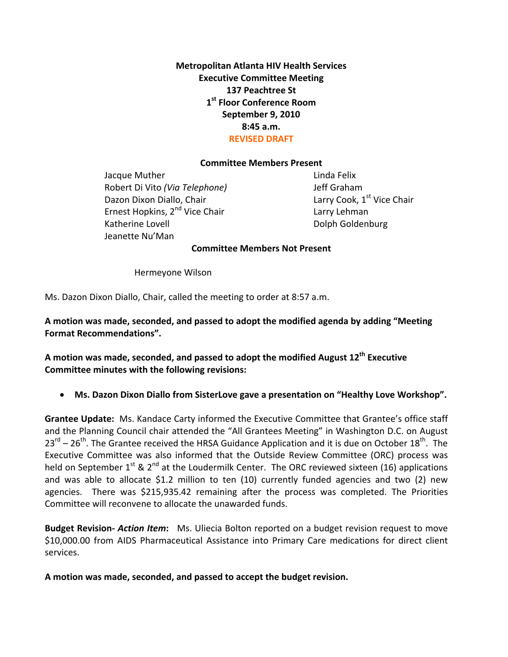**Metropolitan Atlanta HIV Health Services Executive Committee Meeting 137 Peachtree St 1st Floor Conference Room September 9, 2010 8:45 a.m. REVISED DRAFT**

#### **Committee Members Present**

Jacque Muther **1999** Linda Felix Robert Di Vito *(Via Telephone)* Jeff Graham Dazon Dixon Diallo, Chair **1998** Larry Cook, 1<sup>st</sup> Vice Chair Ernest Hopkins, 2<sup>nd</sup> Vice Chair **1998** Larry Lehman Katherine Lovell **Example 2018** Color Dolph Goldenburg Jeanette Nu'Man

#### **Committee Members Not Present**

 Hermeyone Wilson

Ms. Dazon Dixon Diallo, Chair, called the meeting to order at 8:57 a.m.

**A motion was made, seconded, and passed to adopt the modified agenda by adding "Meeting Format Recommendations".** 

**A motion was made, seconded, and passed to adopt the modified August 12th Executive Committee minutes with the following revisions:** 

• **Ms. Dazon Dixon Diallo from SisterLove gave a presentation on "Healthy Love Workshop".**

**Grantee Update:** Ms. Kandace Carty informed the Executive Committee that Grantee's office staff and the Planning Council chair attended the "All Grantees Meeting" in Washington D.C. on August  $23^{rd}$  – 26<sup>th</sup>. The Grantee received the HRSA Guidance Application and it is due on October 18<sup>th</sup>. The Executive Committee was also informed that the Outside Review Committee (ORC) process was held on September  $1^{st}$  &  $2^{nd}$  at the Loudermilk Center. The ORC reviewed sixteen (16) applications and was able to allocate \$1.2 million to ten (10) currently funded agencies and two (2) new agencies. There was \$215,935.42 remaining after the process was completed. The Priorities Committee will reconvene to allocate the unawarded funds.

**Budget Revision‐** *Action Item***:** Ms. Uliecia Bolton reported on a budget revision request to move \$10,000.00 from AIDS Pharmaceutical Assistance into Primary Care medications for direct client services.

**A motion was made, seconded, and passed to accept the budget revision.**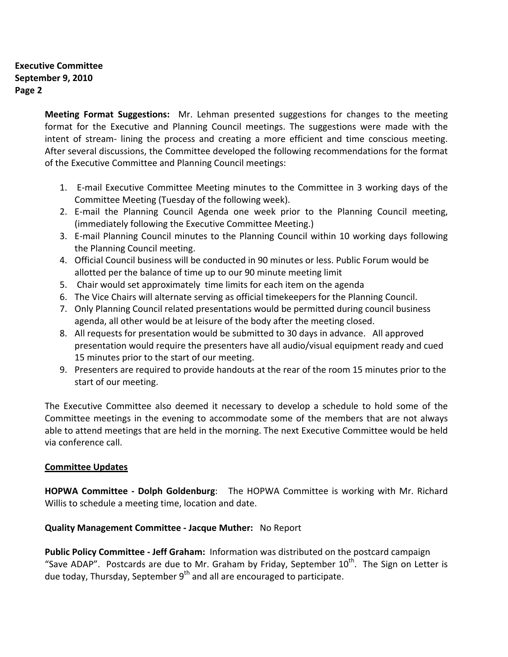### **Executive Committee September 9, 2010 Page 2**

**Meeting Format Suggestions:**  Mr. Lehman presented suggestions for changes to the meeting format for the Executive and Planning Council meetings. The suggestions were made with the intent of stream- lining the process and creating a more efficient and time conscious meeting. After several discussions, the Committee developed the following recommendations for the format of the Executive Committee and Planning Council meetings:

- 1. E‐mail Executive Committee Meeting minutes to the Committee in 3 working days of the Committee Meeting (Tuesday of the following week).
- 2. E-mail the Planning Council Agenda one week prior to the Planning Council meeting, (immediately following the Executive Committee Meeting.)
- 3. E‐mail Planning Council minutes to the Planning Council within 10 working days following the Planning Council meeting.
- 4. Official Council business will be conducted in 90 minutes or less. Public Forum would be allotted per the balance of time up to our 90 minute meeting limit
- 5. Chair would set approximately time limits for each item on the agenda
- 6. The Vice Chairs will alternate serving as official timekeepers for the Planning Council.
- 7. Only Planning Council related presentations would be permitted during council business agenda, all other would be at leisure of the body after the meeting closed.
- 8. All requests for presentation would be submitted to 30 days in advance. All approved presentation would require the presenters have all audio/visual equipment ready and cued 15 minutes prior to the start of our meeting.
- 9. Presenters are required to provide handouts at the rear of the room 15 minutes prior to the start of our meeting.

The Executive Committee also deemed it necessary to develop a schedule to hold some of the Committee meetings in the evening to accommodate some of the members that are not always able to attend meetings that are held in the morning. The next Executive Committee would be held via conference call.

## **Committee Updates**

**HOPWA Committee ‐ Dolph Goldenburg**: The HOPWA Committee is working with Mr. Richard Willis to schedule a meeting time, location and date.

## **Quality Management Committee ‐ Jacque Muther:** No Report

**Public Policy Committee ‐ Jeff Graham:** Information was distributed on the postcard campaign "Save ADAP". Postcards are due to Mr. Graham by Friday, September  $10<sup>th</sup>$ . The Sign on Letter is due today, Thursday, September  $9<sup>th</sup>$  and all are encouraged to participate.